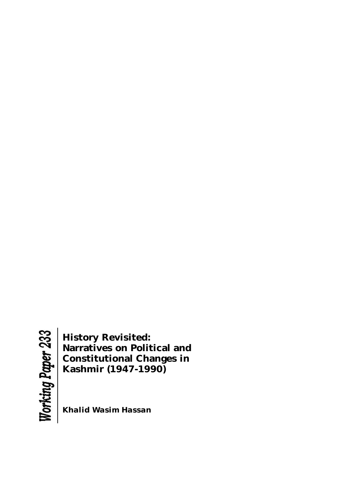**History Revisited: Narratives on Political and Constitutional Changes in Kashmir (1947-1990)**

*Khalid Wasim Hassan*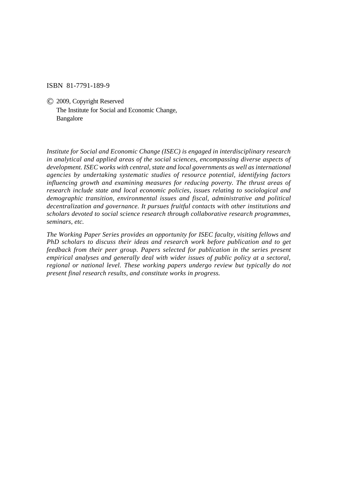ISBN 81-7791-189-9

© 2009, Copyright Reserved The Institute for Social and Economic Change, Bangalore

*Institute for Social and Economic Change (ISEC) is engaged in interdisciplinary research in analytical and applied areas of the social sciences, encompassing diverse aspects of development. ISEC works with central, state and local governments as well as international agencies by undertaking systematic studies of resource potential, identifying factors influencing growth and examining measures for reducing poverty. The thrust areas of research include state and local economic policies, issues relating to sociological and demographic transition, environmental issues and fiscal, administrative and political decentralization and governance. It pursues fruitful contacts with other institutions and scholars devoted to social science research through collaborative research programmes, seminars, etc.*

*The Working Paper Series provides an opportunity for ISEC faculty, visiting fellows and PhD scholars to discuss their ideas and research work before publication and to get feedback from their peer group. Papers selected for publication in the series present empirical analyses and generally deal with wider issues of public policy at a sectoral, regional or national level. These working papers undergo review but typically do not present final research results, and constitute works in progress.*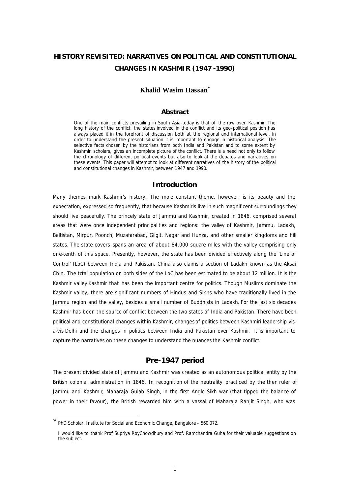# **HISTORY REVISITED: NARRATIVES ON POLITICAL AND CONSTITUTIONAL CHANGES IN KASHMIR (1947 -1990)**

# **Khalid Wasim Hassan\***

# *Abstract*

*One of the main conflicts prevailing in South Asia today is that of the row over Kashmir. The long history of the conflict, the states involved in the conflict and its geo-political position has always placed it in the forefront of discussion both at the regional and international level. In order to understand the present situation it is important to engage in historical analysis. The selective facts chosen by the historians from both India and Pakistan and to some extent by Kashmiri scholars, gives an incomplete picture of the conflict. There is a need not only to follow the chronology of different political events but also to look at the debates and narratives on these events. This paper will attempt to look at different narratives of the history of the political and constitutional changes in Kashmir, between 1947 and 1990.*

## **Introduction**

Many themes mark Kashmir's history. The more constant theme, however, is its beauty and the expectation, expressed so frequently, that because Kashmiris live in such magnificent surroundings they should live peacefully. The princely state of Jammu and Kashmir, created in 1846, comprised several areas that were once independent principalities and regions: the valley of Kashmir, Jammu, Ladakh, Baltistan, Mirpur, Poonch, Muzafarabad, Gilgit, Nagar and Hunza, and other smaller kingdoms and hill states. The state covers spans an area of about 84,000 square miles with the valley comprising only one-tenth of this space. Presently, however, the state has been divided effectively along the 'Line of Control' (LoC) between India and Pakistan. China also claims a section of Ladakh known as the Aksai Chin. The total population on both sides of the LoC has been estimated to be about 12 million. It is the Kashmir valley Kashmir that has been the important centre for politics. Though Muslims dominate the Kashmir valley, there are significant numbers of Hindus and Sikhs who have traditionally lived in the Jammu region and the valley, besides a small number of Buddhists in Ladakh. For the last six decades Kashmir has been the source of conflict between the two states of India and Pakistan. There have been political and constitutional changes within Kashmir, changes of politics between Kashmiri leadership visa-vis Delhi and the changes in politics between India and Pakistan over Kashmir. It is important to capture the narratives on these changes to understand the nuances the Kashmir conflict.

# **Pre-1947 period**

The present divided state of Jammu and Kashmir was created as an autonomous political entity by the British colonial administration in 1846. In recognition of the neutrality practiced by the then ruler of Jammu and Kashmir, Maharaja Gulab Singh, in the first Anglo-Sikh war (that tipped the balance of power in their favour), the British rewarded him with a vassal of Maharaja Ranjit Singh, who was

l

<sup>∗</sup> PhD Scholar, Institute for Social and Economic Change, Bangalore – 560 072.

I would like to thank Prof Supriya RoyChowdhury and Prof. Ramchandra Guha for their valuable suggestions on the subject.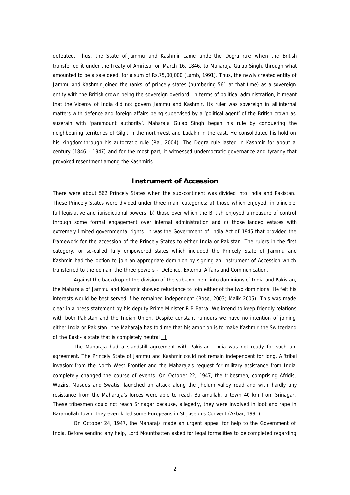defeated. Thus, the State of Jammu and Kashmir came underthe Dogra rule when the British transferred it under the *Treaty of Amritsar* on March 16, 1846, to Maharaja Gulab Singh*,* through what amounted to be a sale deed, for a sum of Rs.75,00,000 (Lamb, 1991). Thus, the newly created entity of Jammu and Kashmir joined the ranks of princely states (numbering 561 at that time) as a sovereign entity with the British crown being the sovereign overlord. In terms of political administration, it meant that the Viceroy of India did not govern Jammu and Kashmir. Its ruler was sovereign in all internal matters with defence and foreign affairs being supervised by a 'political agent' of the British crown as suzerain with 'paramount authority'. Maharaja Gulab Singh began his rule by conquering the neighbouring territories of Gilgit in the nort hwest and Ladakh in the east. He consolidated his hold on his kingdom through his autocratic rule (Rai, 2004). The Dogra rule lasted in Kashmir for about a century (1846 - 1947) and for the most part, it witnessed undemocratic governance and tyranny that provoked resentment among the Kashmiris.

#### **Instrument of Accession**

There were about 562 Princely States when the sub-continent was divided into India and Pakistan. These Princely States were divided under three main categories: a) those which enjoyed, in principle, full legislative and jurisdictional powers, b) those over which the British enjoyed a measure of control through some formal engagement over internal administration and c) those landed estates with extremely limited governmental rights. It was the Government of India Act of 1945 that provided the framework for the accession of the Princely States to either India or Pakistan. The rulers in the first category, or so-called fully empowered states which included the Princely State of Jammu and Kashmir, had the option to join an appropriate dominion by signing an Instrument of Accession which transferred to the domain the three powers - Defence, External Affairs and Communication.

Against the backdrop of the division of the sub-continent into dominions of India and Pakistan, the Maharaja of Jammu and Kashmir showed reluctance to join either of the two dominions. He felt his interests would be best served if he remained independent (Bose, 2003; Malik 2005). This was made clear in a press statement by his deputy Prime Minister R B Batra: *We intend to keep friendly relations*  with both Pakistan and the Indian Union. Despite constant rumours we have no intention of joining *either India or Pakistan…the Maharaja has told me that his ambition is to make Kashmir the Switzerland of the East - a state that is completely neutral.*[i]

The Maharaja had a standstill agreement with Pakistan. India was not ready for such an agreement. The Princely State of Jammu and Kashmir could not remain independent for long. A 'tribal invasion' from the North West Frontier and the Maharaja's request for military assistance from India completely changed the course of events. On October 22, 1947, the tribesmen, comprising Afridis, Wazirs, Masuds and Swatis, launched an attack along the Jhelum valley road and with hardly any resistance from the Maharaja's forces were able to reach Baramullah, a town 40 km from Srinagar. These tribesmen could not reach Srinagar because, allegedly, they were involved in loot and rape in Baramullah town; they even killed some Europeans in St Joseph's Convent (Akbar, 1991).

On October 24, 1947, the Maharaja made an urgent appeal for help to the Government of India. Before sending any help, Lord Mountbatten asked for legal formalities to be completed regarding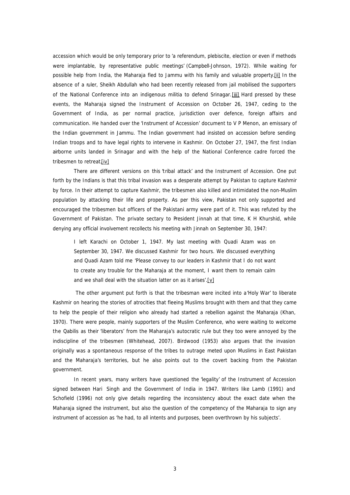accession which would be only temporary prior to 'a referendum, plebiscite, election or even if methods were implantable, by representative public meetings' (Campbell-Johnson, 1972). While waiting for possible help from India, the Maharaja fled to Jammu with his family and valuable property.[ii] In the absence of a ruler, Sheikh Abdullah who had been recently released from jail mobilised the supporters of the National Conference into an indigenous militia to defend Srinagar. [iii] Hard pressed by these events, the Maharaja signed the Instrument of Accession on October 26, 1947, ceding to the Government of India, as per normal practice, jurisdiction over defence, foreign affairs and communication. He handed over the 'Instrument of Accession' document to V P Menon, an emissary of the Indian government in Jammu. The Indian government had insisted on accession before sending Indian troops and to have legal rights to intervene in Kashmir. On October 27, 1947, the first Indian airborne units landed in Srinagar and with the help of the National Conference cadre forced the tribesmen to retreat.[iv]

There are different versions on this 'tribal attack' and the Instrument of Accession. One put forth by the Indians is that this tribal invasion was a desperate attempt by Pakistan to capture Kashmir by force. In their attempt to capture Kashmir, the tribesmen also killed and intimidated the non-Muslim population by attacking their life and property. As per this view, Pakistan not only supported and encouraged the tribesmen but officers of the Pakistani army were part of it. This was refuted by the Government of Pakistan. The private sectary to President Jinnah at that time, K H Khurshid, while denying any official involvement recollects his meeting with Jinnah on September 30, 1947:

*I left Karachi on October 1, 1947. My last meeting with Quadi Azam was on September 30, 1947. We discussed Kashmir for two hours. We discussed everything and Quadi Azam told me 'Please convey to our leaders in Kashmir that I do not want to create any trouble for the Maharaja at the moment, I want them to remain calm and we shall deal with the situation latter on as it arises'.*[v]

The other argument put forth is that the tribesman were incited into a'Holy War' to liberate Kashmir on hearing the stories of atrocities that fleeing Muslims brought with them and that they came to help the people of their religion who already had started a rebellion against the Maharaja (Khan, 1970). There were people, mainly supporters of the Muslim Conference, who were waiting to welcome the Qabilis as their 'liberators' from the Maharaja's autocratic rule but they too were annoyed by the indiscipline of the tribesmen (Whitehead, 2007). Birdwood (1953) also argues that the invasion originally was a spontaneous response of the tribes to outrage meted upon Muslims in East Pakistan and the Maharaja's territories, but he also points out to the covert backing from the Pakistan government.

In recent years, many writers have questioned the 'legality' of the Instrument of Accession signed between Hari Singh and the Government of India in 1947. Writers like Lamb (1991) and Schofield (1996) not only give details regarding the inconsistency about the exact date when the Maharaja signed the instrument, but also the question of the competency of the Maharaja to sign any instrument of accession as 'he had, to all intents and purposes, been overthrown by his subjects'.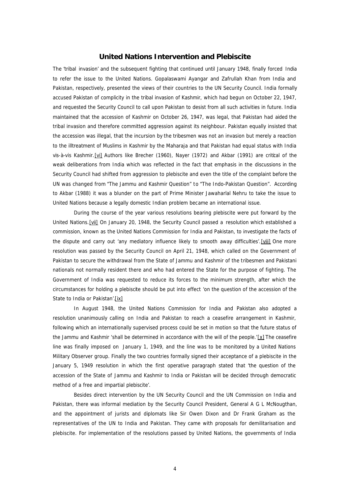#### **United Nations Intervention and Plebiscite**

The 'tribal invasion' and the subsequent fighting that continued until January 1948, finally forced India to refer the issue to the United Nations. Gopalaswami Ayangar and Zafrullah Khan from India and Pakistan, respectively, presented the views of their countries to the UN Security Council. India formally accused Pakistan of complicity in the tribal invasion of Kashmir, which had begun on October 22, 1947, and requested the Security Council to call upon Pakistan to desist from all such activities in future. India maintained that the accession of Kashmir on October 26, 1947, was legal, that Pakistan had aided the tribal invasion and therefore committed aggression against its neighbour. Pakistan equally insisted that the accession was illegal, that the incursion by the tribesmen was not an invasion but merely a reaction to the illtreatment of Muslims in Kashmir by the Maharaja and that Pakistan had equal status with India vis-à-vis Kashmir.[vi] Authors like Brecher (1960), Nayer (1972) and Akbar (1991) are critical of the weak deliberations from India which was reflected in the fact that emphasis in the discussions in the Security Council had shifted from aggression to plebiscite and even the title of the complaint before the UN was changed from "The Jammu and Kashmir Question" to "The Indo-Pakistan Question". According to Akbar (1988) it was a blunder on the part of Prime Minister Jawaharlal Nehru to take the issue to United Nations because a legally domestic Indian problem became an international issue.

During the course of the year various resolutions bearing plebiscite were put forward by the United Nations.[vii] On January 20, 1948, the Security Council passed a resolution which established a commission, known as the United Nations Commission for India and Pakistan, to investigate the facts of the dispute and carry out 'any mediatory influence likely to smooth away difficulties'. [viii] One more resolution was passed by the Security Council on April 21, 1948, which called on the Government of Pakistan to secure the withdrawal from the State of Jammu and Kashmir of the tribesmen and Pakistani nationals not normally resident there and who had entered the State for the purpose of fighting. The Government of India was requested to reduce its forces to the minimum strength, after which the circumstances for holding a plebiscite should be put into effect 'on the question of the accession of the State to India or Pakistan'.[ix]

In August 1948, the United Nations Commission for India and Pakistan also adopted a resolution unanimously calling on India and Pakistan to reach a ceasefire arrangement in Kashmir, following which an internationally supervised process could be set in motion so that the future status of the Jammu and Kashmir 'shall be determined in accordance with the will of the people.'[x] The ceasefire line was finally imposed on January 1, 1949, and the line was to be monitored by a United Nations Military Observer group. Finally the two countries formally signed their acceptance of a plebiscite in the January 5, 1949 resolution in which the first operative paragraph stated that 'the question of the accession of the State of Jammu and Kashmir to India or Pakistan will be decided through democratic method of a free and impartial plebiscite'.

Besides direct intervention by the UN Security Council and the UN Commission on India and Pakistan, there was informal mediation by the Security Council President, General A G L McNougthan, and the appointment of jurists and diplomats like Sir Owen Dixon and Dr Frank Graham as the representatives of the UN to India and Pakistan. They came with proposals for demilitarisation and plebiscite. For implementation of the resolutions passed by United Nations, the governments of India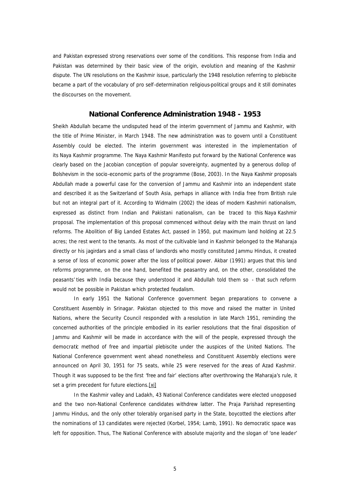and Pakistan expressed strong reservations over some of the conditions. This response from India and Pakistan was determined by their basic view of the origin, evolution and meaning of the Kashmir dispute. The UN resolutions on the Kashmir issue, particularly the 1948 resolution referring to plebiscite became a part of the vocabulary of pro self-determination religious-political groups and it still dominates the discourses on the movement.

## **National Conference Administration 1948 - 1953**

Sheikh Abdullah became the undisputed head of the interim government of Jammu and Kashmir, with the title of Prime Minister, in March 1948. The new administration was to govern until a Constituent Assembly could be elected. The interim government was interested in the implementation of its *Naya* Kashmir programme. The *Naya* Kashmir Manifesto put forward by the National Conference was clearly based on the Jacobian conception of popular sovereignty, augmented by a generous dollop of Bolshevism in the socio-economic parts of the programme (Bose, 2003). In the *Naya* Kashmir proposals Abdullah made a powerful case for the conversion of Jammu and Kashmir into an independent state and described it as the Switzerland of South Asia, perhaps in alliance with India free from British rule but not an integral part of it. According to Widmalm (2002) the ideas of modern Kashmiri nationalism, expressed as distinct from Indian and Pakistani nationalism, can be traced to this *Naya* Kashmir proposal. The implementation of this proposal commenced without delay with the main thrust on land reforms. The Abolition of Big Landed Estates Act, passed in 1950, put maximum land holding at 22.5 acres; the rest went to the tenants. As most of the cultivable land in Kashmir belonged to the Maharaja directly or his *jagirdars* and a small class of landlords who mostly constituted Jammu Hindus, it created a sense of loss of economic power after the loss of political power. Akbar (1991) argues that this land reforms programme, on the one hand, benefited the peasantry and, on the other, consolidated the peasants' ties with India because they understood it and Abdullah told them so - that such reform would not be possible in Pakistan which protected feudalism.

In early 1951 the National Conference government began preparations to convene a Constituent Assembly in Srinagar. Pakistan objected to this move and raised the matter in United Nations, where the Security Council responded with a resolution in late March 1951, reminding the concerned authorities of the principle embodied in its earlier resolutions that the final disposition of Jammu and Kashmir will be made in accordance with the will of the people, expressed through the democratic method of free and impartial plebiscite under the auspices of the United Nations. The National Conference government went ahead nonetheless and Constituent Assembly elections were announced on April 30, 1951 for 75 seats, while 25 were reserved for the areas of Azad Kashmir. Though it was supposed to be the first 'free and fair' elections after overthrowing the Maharaja's rule, it set a grim precedent for future elections.[xi]

In the Kashmir valley and Ladakh, 43 National Conference candidates were elected unopposed and the two non-National Conference candidates withdrew latter. The Praja Parishad representing Jammu Hindus, and the only other tolerably organised party in the State, boycotted the elections after the nominations of 13 candidates were rejected (Korbel, 1954; Lamb, 1991). No democratic space was left for opposition. Thus, The National Conference with absolute majority and the slogan of 'one leader'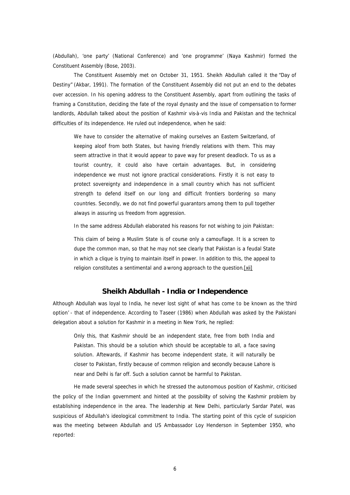(Abdullah), 'one party' (National Conference) and 'one programme' (Naya Kashmir) formed the Constituent Assembly (Bose, 2003).

The Constituent Assembly met on October 31, 1951. Sheikh Abdullah called it the "Day of Destiny" (Akbar, 1991). The formation of the Constituent Assembly did not put an end to the debates over accession. In his opening address to the Constituent Assembly, apart from outlining the tasks of framing a Constitution, deciding the fate of the royal dynasty and the issue of compensation to former landlords, Abdullah talked about the position of Kashmir vis-à-vis India and Pakistan and the technical difficulties of its independence. He ruled out independence, when he said:

We have to consider the alternative of making ourselves an Eastern Switzerland, of *keeping aloof from both States, but having friendly relations with them. This may seem attractive in that it would appear to pave way for present deadlock. To us as a tourist country, it could also have certain advantages. But, in considering independence we must not ignore practical considerations. Firstly it is not easy to protect sovereignty and independence in a small country which has not sufficient strength to defend itself on our long and difficult frontiers bordering so many countries. Secondly, we do not find powerful guarantors among them to pull together always in assuring us freedom from aggression.*

In the same address Abdullah elaborated his reasons for not wishing to join Pakistan:

*This claim of being a Muslim State is of course only a camouflage. It is a screen to dupe the common man, so that he may not see clearly that Pakistan is a feudal State in which a clique is trying to maintain itself in power. In addition to this, the appeal to religion constitutes a sentimental and a wrong approach to the question*.[xii]

### **Sheikh Abdullah - India or Independence**

Although Abdullah was loyal to India, he never lost sight of what has come to be known as the 'third option' - that of independence. According to Taseer (1986) when Abdullah was asked by the Pakistani delegation about a solution for Kashmir in a meeting in New York, he replied:

*Only this, that Kashmir should be an independent state, free from both India and Pakistan. This should be a solution which should be acceptable to all, a face saving solution. Aftewards, if Kashmir has become independent state, it will naturally be closer to Pakistan, firstly because of common religion and secondly because Lahore is near and Delhi is far off. Such a solution cannot be harmful to Pakistan.*

He made several speeches in which he stressed the autonomous position of Kashmir, criticised the policy of the Indian government and hinted at the possibility of solving the Kashmir problem by establishing independence in the area. The leadership at New Delhi, particularly Sardar Patel, was suspicious of Abdullah's ideological commitment to India. The starting point of this cycle of suspicion was the meeting between Abdullah and US Ambassador Loy Henderson in September 1950, who reported: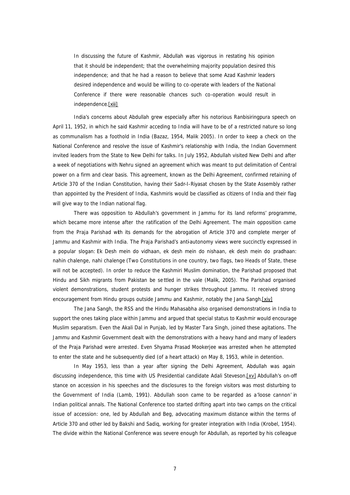*In discussing the future of Kashmir, Abdullah was vigorous in restating his opinion that it should be independent; that the overwhelming majority population desired this independence; and that he had a reason to believe that some Azad Kashmir leaders desired independence and would be willing to co-operate with leaders of the National Conference if there were reasonable chances such co-operation would result in independence*.[xiii]

India's concerns about Abdullah grew especially after his notorious Ranbisiringpura speech on April 11, 1952, in which he said Kashmir acceding to India will have to be of a restricted nature so long as communalism has a foothold in India (Bazaz, 1954, Malik 2005). In order to keep a check on the National Conference and resolve the issue of Kashmir's relationship with India, the Indian Government invited leaders from the State to New Delhi for talks. In July 1952, Abdullah visited New Delhi and after a week of negotiations with Nehru signed an agreement which was meant to put delimitation of Central power on a firm and clear basis. This agreement, known as the Delhi Agreement, confirmed retaining of Article 370 of the Indian Constitution, having their *Sadr-I-Riyasat* chosen by the State Assembly rather than appointed by the President of India, Kashmiris would be classified as citizens of India and their flag will give way to the Indian national flag.

There was opposition to Abdullah's government in Jammu for its land reforms' programme, which became more intense after the ratification of the Delhi Agreement. The main opposition came from the Praja Parishad with its demands for the abrogation of Article 370 and complete merger of Jammu and Kashmir with India. The Praja Parishad's anti-autonomy views were succinctly expressed in a popular slogan: *Ek Desh mein do vidhaan, ek desh mein do nishaan, ek desh mein do pradhaan: nahin chalenge, nahi chalenge* (Two Constitutions in one country, two flags, two Heads of State, these will not be accepted). In order to reduce the Kashmiri Muslim domination, the Parishad proposed that Hindu and Sikh migrants from Pakistan be se ttled in the vale (Malik, 2005). The Parishad organised violent demonstrations, student protests and hunger strikes throughout Jammu. It received strong encouragement from Hindu groups outside Jammu and Kashmir, notably the Jana Sangh.[xiv]

The Jana Sangh, the RSS and the Hindu Mahasabha also organised demonstrations in India to support the ones taking place within Jammu and argued that special status to Kashmir would encourage Muslim separatism. Even the Akali Dal in Punjab, led by Master Tara Singh, joined these agitations. The Jammu and Kashmir Government dealt with the demonstrations with a heavy hand and many of leaders of the Praja Parishad were arrested. Even Shyama Prasad Mookerjee was arrested when he attempted to enter the state and he subsequently died (of a heart attack) on May 8, 1953, while in detention.

In May 1953, less than a year after signing the Delhi Agreement, Abdullah was again discussing independence, this time with US Presidential candidate Adali Steveson.[xv] Abdullah's on-off stance on accession in his speeches and the disclosures to the foreign visitors was most disturbing to the Government of India (Lamb, 1991). Abdullah soon came to be regarded as a'loose cannon' in Indian political annals. The National Conference too started drifting apart into two camps on the critical issue of accession: one, led by Abdullah and Beg, advocating maximum distance within the terms of Article 370 and other led by Bakshi and Sadiq, working for greater integration with India (Krobel, 1954). The divide within the National Conference was severe enough for Abdullah, as reported by his colleague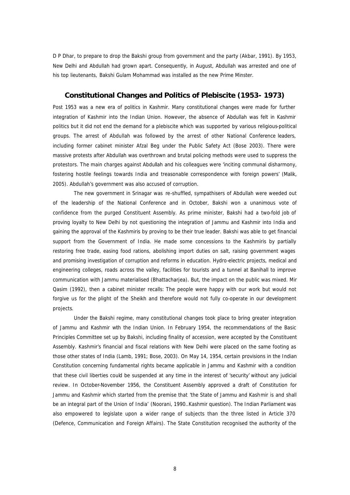D P Dhar, to prepare to drop the Bakshi group from government and the party (Akbar, 1991). By 1953, New Delhi and Abdullah had grown apart. Consequently, in August, Abdullah was arrested and one of his top lieutenants, Bakshi Gulam Mohammad was installed as the new Prime Minster.

# **Constitutional Changes and Politics of Plebiscite (1953- 1973)**

Post 1953 was a new era of politics in Kashmir. Many constitutional changes were made for further integration of Kashmir into the Indian Union. However, the absence of Abdullah was felt in Kashmir politics but it did not end the demand for a plebiscite which was supported by various religious-political groups. The arrest of Abdullah was followed by the arrest of other National Conference leaders, including former cabinet minister Afzal Beg under the Public Safety Act (Bose 2003). There were massive protests after Abdullah was overthrown and brutal policing methods were used to suppress the protestors. The main charges against Abdullah and his colleagues were 'inciting communal disharmony, fostering hostile feelings towards India and treasonable correspondence with foreign powers' (Malik, 2005). Abdullah's government was also accused of corruption.

The new government in Srinagar was re-shuffled, sympathisers of Abdullah were weeded out of the leadership of the National Conference and in October, Bakshi won a unanimous vote of confidence from the purged Constituent Assembly. As prime minister, Bakshi had a two-fold job of proving loyalty to New Delhi by not questioning the integration of Jammu and Kashmir into India and gaining the approval of the Kashmiris by proving to be their true leader. Bakshi was able to get financial support from the Government of India. He made some concessions to the Kashmiris by partially restoring free trade, easing food rations, abolishing import duties on salt, raising government wages and promising investigation of corruption and reforms in education. Hydro-electric projects, medical and engineering colleges, roads across the valley, facilities for tourists and a tunnel at Banihall to improve communication with Jammu materialised (Bhattacharjea). But, the impact on the public was mixed. Mir Qasim (1992), then a cabinet minister recalls: *The people were happy with our work but would not*  forgive us for the plight of the Sheikh and therefore would not fully co-operate in our development *projects*.

Under the Bakshi regime, many constitutional changes took place to bring greater integration of Jammu and Kashmir with the Indian Union. In February 1954, the recommendations of the Basic Principles Committee set up by Bakshi, including finality of accession, were accepted by the Constituent Assembly. Kashmir's financial and fiscal relations with New Delhi were placed on the same footing as those other states of India (Lamb, 1991; Bose, 2003). On May 14, 1954, certain provisions in the Indian Constitution concerning fundamental rights became applicable in Jammu and Kashmir with a condition that these civil liberties could be suspended at any time in the interest of 'security' without any judicial review. In October-November 1956, the Constituent Assembly approved a draft of Constitution for Jammu and Kashmir which started from the premise that 'the State of Jammu and Kashmir is and shall be an integral part of the Union of India' (Noorani, 1990..Kashmir question). The Indian Parliament was also empowered to legislate upon a wider range of subjects than the three listed in Article 370 (Defence, Communication and Foreign Affairs). The State Constitution recognised the authority of the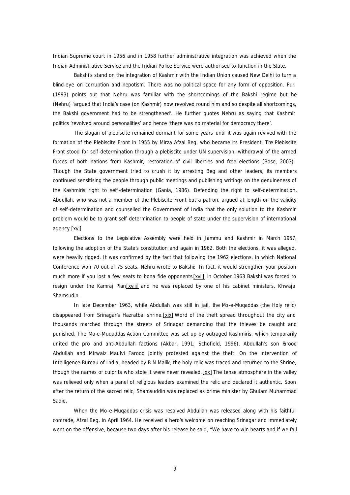Indian Supreme court in 1956 and in 1958 further administrative integration was achieved when the Indian Administrative Service and the Indian Police Service were authorised to function in the State.

Bakshi's stand on the integration of Kashmir with the Indian Union caused New Delhi to turn a blind-eye on corruption and nepotism. There was no political space for any form of opposition. Puri (1993) points out that Nehru was familiar with the shortcomings of the Bakshi regime but he (Nehru) 'argued that India's case (on Kashmir) now revolved round him and so despite all shortcomings, the Bakshi government had to be strengthened'. He further quotes Nehru as saying that Kashmir politics 'revolved around personalities' and hence 'there was no material for democracy there'.

The slogan of plebiscite remained dormant for some years until it was again revived with the formation of the Plebiscite Front in 1955 by Mirza Afzal Beg, who became its President. The Plebiscite Front stood for self-determination through a plebiscite under UN supervision, withdrawal of the armed forces of both nations from Kashmir, restoration of civil liberties and free elections (Bose, 2003). Though the State government tried to crush it by arresting Beg and other leaders, its members continued sensitising the people through public meetings and publishing writings on the genuineness of the Kashmiris' right to self-determination (Gania, 1986). Defending the right to self-determination, Abdullah, who was not a member of the Plebiscite Front but a patron, argued at length on the validity of self-determination and counselled the Government of India that the only solution to the Kashmir problem would be to grant self-determination to people of state under the supervision of international agency.[xvi]

Elections to the Legislative Assembly were held in Jammu and Kashmir in March 1957, following the adoption of the State's constitution and again in 1962. Both the elections, it was alleged, were heavily rigged. It was confirmed by the fact that following the 1962 elections, in which National Conference won 70 out of 75 seats, Nehru wrote to Bakshi: *In fact, it would strengthen your position much more if you lost a few seats to bona fide opponents.[xvii]* In October 1963 Bakshi was forced to resign under the Kamraj Plan[xviii] and he was replaced by one of his cabinet ministers, Khwaja Shamsudin.

In late December 1963, while Abdullah was still in jail, the *Mo-e-Muqaddas* (the Holy relic) disappeared from Srinagar's Hazratbal shrine.[xix] Word of the theft spread throughout the city and thousands marched through the streets of Srinagar demanding that the thieves be caught and punished. The *Mo-e-Muqaddas* Action Committee was set up by outraged Kashmiris, which temporarily united the pro and anti-Abdullah factions (Akbar, 1991; Schofield, 1996). Abdullah's son Farooq Abdullah and Mirwaiz Maulvi Farooq jointly protested against the theft. On the intervention of Intelligence Bureau of India, headed by B N Malik, the holy relic was traced and returned to the Shrine, though the names of culprits who stole it were never revealed. [xx] The tense atmosphere in the valley was relieved only when a panel of religious leaders examined the relic and declared it authentic. Soon after the return of the sacred relic, Shamsuddin was replaced as prime minister by Ghulam Muhammad Sadiq.

When the Mo-e-Muqaddas crisis was resolved Abdullah was released along with his faithful comrade, Afzal Beg, in April 1964. He received a hero's welcome on reaching Srinagar and immediately went on the offensive, because two days after his release he said, "We have to win hearts and if we fail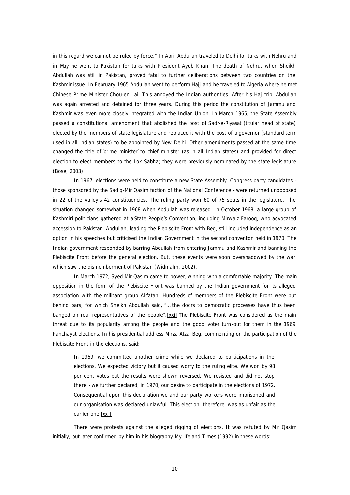in this regard we cannot be ruled by force." In April Abdullah traveled to Delhi for talks with Nehru and in May he went to Pakistan for talks with President Ayub Khan. The death of Nehru, when Sheikh Abdullah was still in Pakistan, proved fatal to further deliberations between two countries on the Kashmir issue. In February 1965 Abdullah went to perform Hajj and he traveled to Algeria where he met Chinese Prime Minister Chou-en Lai. This annoyed the Indian authorities. After his Haj trip, Abdullah was again arrested and detained for three years. During this period the constitution of Jammu and Kashmir was even more closely integrated with the Indian Union. In March 1965, the State Assembly passed a constitutional amendment that abolished the post of *Sadr-e-Riyasat* (titular head of state) elected by the members of state legislature and replaced it with the post of a governor (standard term used in all Indian states) to be appointed by New Delhi. Other amendments passed at the same time changed the title of 'prime minister' to chief minister (as in all Indian states) and provided for direct election to elect members to the Lok Sabha; they were previously nominated by the state legislature (Bose, 2003).

In 1967, elections were held to constitute a new State Assembly. Congress party candidates those sponsored by the Sadiq-Mir Qasim faction of the National Conference - were returned unopposed in 22 of the valley's 42 constituencies. The ruling party won 60 of 75 seats in the legislature. The situation changed somewhat in 1968 when Abdullah was released. In October 1968, a large group of Kashmiri politicians gathered at a State People's Convention, including Mirwaiz Farooq, who advocated accession to Pakistan. Abdullah, leading the Plebiscite Front with Beg, still included independence as an option in his speeches but criticised the Indian Government in the second convention held in 1970. The Indian government responded by barring Abdullah from entering Jammu and Kashmir and banning the Plebiscite Front before the general election. But, these events were soon overshadowed by the war which saw the dismemberment of Pakistan (Widmalm, 2002).

In March 1972, Syed Mir Qasim came to power, winning with a comfortable majority. The main opposition in the form of the Plebiscite Front was banned by the Indian government for its alleged association with the militant group Al-fatah. Hundreds of members of the Plebiscite Front were put behind bars, for which Sheikh Abdullah said, "… *the doors to democratic processes have thus been banged on real representatives of the people".*[xxi] The Plebiscite Front was considered as the main threat due to its popularity among the people and the good voter turn-out for them in the 1969 Panchayat elections. In his presidential address Mirza Afzal Beg, comme nting on the participation of the Plebiscite Front in the elections, said:

In 1969, we committed another crime while we declared to participations in the *elections. We expected victory but it caused worry to the ruling elite. We won by 98 per cent votes but the results were shown reversed. We resisted and did not stop there - we further declared, in 1970, our desire to participate in the elections of 1972. Consequential upon this declaration we and our party workers were imprisoned and our organisation was declared unlawful. This election, therefore, was as unfair as the earlier one.*[xxii]

There were protests against the alleged rigging of elections. It was refuted by Mir Qasim initially, but later confirmed by him in his biography *My life and Times* (1992) in these words: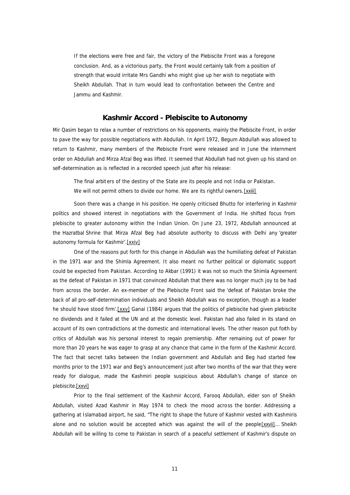*If the elections were free and fair, the victory of the Plebiscite Front was a foregone conclusion. And, as a victorious party, the Front would certainly talk from a position of strength that would irritate Mrs Gandhi who might give up her wish to negotiate with Sheikh Abdullah. That in turn would lead to confrontation between the Centre and Jammu and Kashmir*.

# **Kashmir Accord - Plebiscite to Autonomy**

Mir Qasim began to relax a number of restrictions on his opponents, mainly the Plebiscite Front, in order to pave the way for possible negotiations with Abdullah. In April 1972, Begum Abdullah was allowed to return to Kashmir, many members of the Plebiscite Front were released and in June the internment order on Abdullah and Mirza Afzal Beg was lifted. It seemed that Abdullah had not given up his stand on self-determination as is reflected in a recorded speech just after his release:

*The final arbit ers of the destiny of the State are its people and not India or Pakistan. We will not permit others to divide our home. We are its rightful owners.*[xxiii]

Soon there was a change in his position. He openly criticised Bhutto for interfering in Kashmir politics and showed interest in negotiations with the Government of India. He shifted focus from plebiscite to greater autonomy within the Indian Union. On June 23, 1972, Abdullah announced at the *Hazratbal* Shrine that Mirza Afzal Beg had absolute authority to discuss with Delhi any 'greater autonomy formula for Kashmir'.[xxiv]

One of the reasons put forth for this change in Abdullah was the humiliating defeat of Pakistan in the 1971 war and the Shimla Agreement. It also meant no further political or diplomatic support could be expected from Pakistan. According to Akbar (1991) it was not so much the Shimla Agreement as the defeat of Pakistan in 1971 that convinced Abdullah that there was no longer much joy to be had from across the border. An ex-member of the Plebiscite Front said the '*defeat of Pakistan broke the back of all pro-self-determination individuals and Sheikh Abdullah was no exception, though as a leader he should have stood firm'.*[xxv] Ganai (1984) argues that the politics of plebiscite had given plebiscite no dividends and it failed at the UN and at the domestic level. Pakistan had also failed in its stand on account of its own contradictions at the domestic and international levels. The other reason put forth by critics of Abdullah was his personal interest to regain premiership. After remaining out of power for more than 20 years he was eager to grasp at any chance that came in the form of the Kashmir Accord. The fact that secret talks between the Indian government and Abdullah and Beg had started few months prior to the 1971 war and Beg's announcement just after two months of the war that they were ready for dialogue, made the Kashmiri people suspicious about Abdullah's change of stance on plebiscite.[xxvi]

Prior to the final settlement of the Kashmir Accord, Farooq Abdullah, elder son of Sheikh Abdullah, visited Azad Kashmir in May 1974 to check the mood across the border. Addressing a gathering at Islamabad airport, he said, "T*he right to shape the future of Kashmir vested with Kashmiris alone and no solution would be accepted which was against the will of the people*[xxvii]… *Sheikh Abdullah will be willing to come to Pakistan in search of a peaceful settlement of Kashmir's dispute on*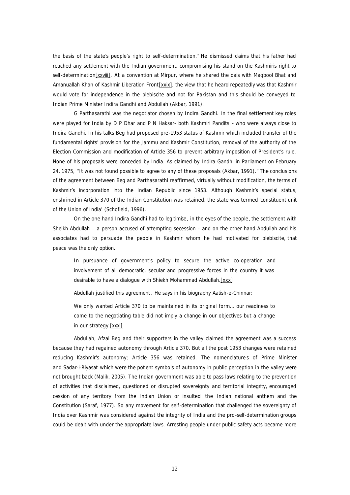*the basis of the state's people's right to self-determination*." He dismissed claims that his father had reached any settlement with the Indian government, compromising his stand on the Kashmiris right to self-determination[xxviii]. At a convention at Mirpur, where he shared the dais with Maqbool Bhat and Amanuallah Khan of Kashmir Liberation Front [xxix], the view that he heard repeatedly was that Kashmir would vote for independence in the plebiscite and not for Pakistan and this should be conveyed to Indian Prime Minister Indira Gandhi and Abdullah (Akbar, 1991).

G Parthasarathi was the negotiator chosen by Indira Gandhi. In the final settlement key roles were played for India by D P Dhar and P N Haksar- both Kashmiri Pandits - who were always close to Indira Gandhi. In his talks Beg had proposed pre-1953 status of Kashmir which included transfer of the fundamental rights' provision for the Jammu and Kashmir Constitution, removal of the authority of the Election Commission and modification of Article 356 to prevent arbitrary imposition of President's rule. None of his proposals were conceded by India. As claimed by Indira Gandhi in Parliament on February 24, 1975, "It was not found possible to agree to any of these proposals (Akbar, 1991)." The conclusions of the agreement between Beg and Parthasarathi reaffirmed, virtually without modification, the terms of Kashmir's incorporation into the Indian Republic since 1953. Although Kashmir's special status, enshrined in Article 370 of the Indian Constitution was retained, the state was termed 'constituent unit of the Union of India' (Schofield, 1996).

On the one hand Indira Gandhi had to legitimise, in the eyes of the people, the settlement with Sheikh Abdullah – a person accused of attempting secession - and on the other hand Abdullah and his associates had to persuade the people in Kashmir whom he had motivated for plebiscite, that peace was the only option.

*In pursuance of government's policy to secure the active co-operation and involvement of all democratic, secular and progressive forces in the country it was desirable to have a dialogue with Shiekh Mohammad Abdullah.*[xxx]

Abdullah justified this agreement. He says in his biography *Aatish-e-Chinnar*:

*We only wanted Article 370 to be maintained in its original form… our readiness to come to the negotiating table did not imply a change in our objectives but a change in our strategy.*[xxxi]

Abdullah, Afzal Beg and their supporters in the valley claimed the agreement was a success because they had regained autonomy through Article 370. But all the post 1953 changes were retained reducing Kashmir's autonomy; Article 356 was retained. The nomenclatures of Prime Minister and *Sadar-i-Riyasat* which were the pot ent symbols of autonomy in public perception in the valley were not brought back (Malik, 2005). The Indian government was able to pass laws relating to the prevention of activities that disclaimed, questioned or disrupted sovereignty and territorial integrity, encouraged cession of any territory from the Indian Union or insulted the Indian national anthem and the Constitution (Saraf, 1977). So any movement for self-determination that challenged the sovereignty of India over Kashmir was considered against the integrity of India and the pro-self-determination groups could be dealt with under the appropriate laws. Arresting people under public safety acts became more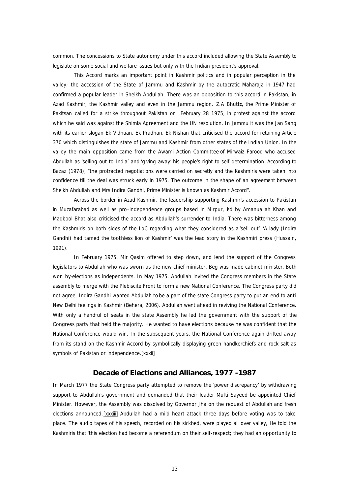common. The concessions to State autonomy under this accord included allowing the State Assembly to legislate on some social and welfare issues but only with the Indian president's approval.

This Accord marks an important point in Kashmir politics and in popular perception in the valley; the accession of the State of Jammu and Kashmir by the autocratic Maharaja in 1947 had confirmed a popular leader in Sheikh Abdullah. There was an opposition to this accord in Pakistan, in Azad Kashmir, the Kashmir valley and even in the Jammu region. Z.A Bhutto, the Prime Minister of Pakitsan called for a strike throughout Pakistan on February 28 1975, in protest against the accord which he said was against the Shimla Agreement and the UN resolution. In Jammu it was the Jan Sang with its earlier slogan *Ek Vidhaan, Ek Pradhan, Ek Nishan* that criticised the accord for retaining Article 370 which distinguishes the state of Jammu and Kashmir from other states of the Indian Union. In the valley the main opposition came from the Awami Action Committee of Mirwaiz Farooq who accused Abdullah as 'selling out to India' and 'giving away' his people's right to self-determination. According to Bazaz (1978), "the protracted negotiations were carried on secretly and the Kashmiris were taken into confidence till the deal was struck early in 1975. The outcome in the shape of an agreement between Sheikh Abdullah and Mrs Indira Gandhi, Prime Minister is known as Kashmir Accord".

Across the border in Azad Kashmir, the leadership supporting Kashmir's accession to Pakistan in Muzafarabad as well as pro-independence groups based in Mirpur, ed by Amanuallah Khan and Maqbool Bhat also criticised the accord as Abdullah's surrender to India. There was bitterness among the Kashmiris on both sides of the LoC regarding what they considered as a 'sell out'. 'A lady (Indira Gandhi) had tamed the toothless lion of Kashmir' was the lead story in the Kashmiri press (Hussain, 1991).

In February 1975, Mir Qasim offered to step down, and lend the support of the Congress legislators to Abdullah who was sworn as the new chief minister. Beg was made cabinet minister. Both won by-elections as independents. In May 1975, Abdullah invited the Congress members in the State assembly to merge with the Plebiscite Front to form a new National Conference. The Congress party did not agree. Indira Gandhi wanted Abdullah to be a part of the state Congress party to put an end to anti-New Delhi feelings in Kashmir (Behera, 2006). Abdullah went ahead in reviving the National Conference. With only a handful of seats in the state Assembly he led the government with the support of the Congress party that held the majority. He wanted to have elections because he was confident that the National Conference would win. In the subsequent years, the National Conference again drifted away from its stand on the Kashmir Accord by symbolically displaying green handkerchiefs and rock salt as symbols of Pakistan or independence.[xxxii]

## **Decade of Elections and Alliances, 1977 -1987**

In March 1977 the State Congress party attempted to remove the 'power discrepancy' by withdrawing support to Abdullah's government and demanded that their leader Mufti Sayeed be appointed Chief Minister. However, the Assembly was dissolved by Governor Jha on the request of Abdullah and fresh elections announced. [xxxiii] Abdullah had a mild heart attack three days before voting was to take place. The audio tapes of his speech, recorded on his sickbed, were played all over valley, He told the Kashmiris that '*this election had become a referendum on their self-respect; they had an opportunity to*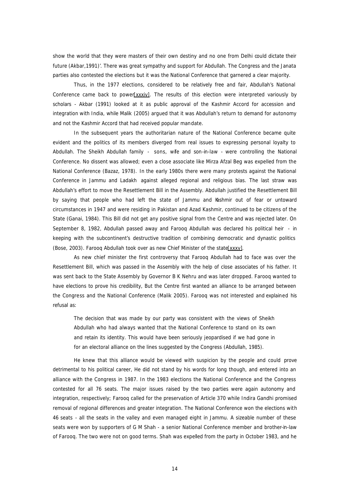*show the world that they were masters of their own destiny and no one from Delhi could dictate their future (Akbar,1991)'*. There was great sympathy and support for Abdullah. The Congress and the Janata parties also contested the elections but it was the National Conference that garnered a clear majority.

Thus, in the 1977 elections, considered to be relatively free and fair, Abdullah's National Conference came back to power[xxxiv]. The results of this election were interpreted variously by scholars - Akbar (1991) looked at it as public approval of the Kashmir Accord for accession and integration with India, while Malik (2005) argued that it was Abdullah's return to demand for autonomy and not the Kashmir Accord that had received popular mandate.

In the subsequent years the authoritarian nature of the National Conference became quite evident and the politics of its members diverged from real issues to expressing personal loyalty to Abdullah. The Sheikh Abdullah family - sons, wife and son-in-law - were controlling the National Conference. No dissent was allowed; even a close associate like Mirza Afzal Beg was expelled from the National Conference (Bazaz, 1978). In the early 1980s there were many protests against the National Conference in Jammu and Ladakh against alleged regional and religious bias. The last straw was Abdullah's effort to move the Resettlement Bill in the Assembly. Abdullah justified the Resettlement Bill by saying that people who had left the state of Jammu and Kashmir out of fear or untoward circumstances in 1947 and were residing in Pakistan and Azad Kashmir, continued to be citizens of the State (Ganai, 1984). This Bill did not get any positive signal from the Centre and was rejected later. On September 8, 1982, Abdullah passed away and Farooq Abdullah was declared his political heir - in keeping with the subcontinent's destructive tradition of combining democratic and dynastic politics (Bose, 2003). Farooq Abdullah took over as new Chief Minister of the state[xxxv].

As new chief minister the first controversy that Farooq Abdullah had to face was over the Resettlement Bill, which was passed in the Assembly with the help of close associates of his father. It was sent back to the State Assembly by Governor B K Nehru and was later dropped. Farooq wanted to have elections to prove his credibility, But the Centre first wanted an alliance to be arranged between the Congress and the National Conference (Malik 2005). Farooq was not interested and explained his refusal as:

*The decision that was made by our party was consistent with the views of Sheikh Abdullah who had always wanted that the National Conference to stand on its own and retain its identity. This would have been seriously jeopardised if we had gone in for an electoral alliance on the lines suggested by the Congress* (Abdullah, 1985).

He knew that this alliance would be viewed with suspicion by the people and could prove detrimental to his political career, He did not stand by his words for long though, and entered into an alliance with the Congress in 1987. In the 1983 elections the National Conference and the Congress contested for all 76 seats. The major issues raised by the two parties were again autonomy and integration, respectively; Farooq called for the preservation of Article 370 while Indira Gandhi promised removal of regional differences and greater integration. The National Conference won the elections with 46 seats - all the seats in the valley and even managed eight in Jammu. A sizeable number of these seats were won by supporters of G M Shah - a senior National Conference member and brother-in-law of Farooq. The two were not on good terms. Shah was expelled from the party in October 1983, and he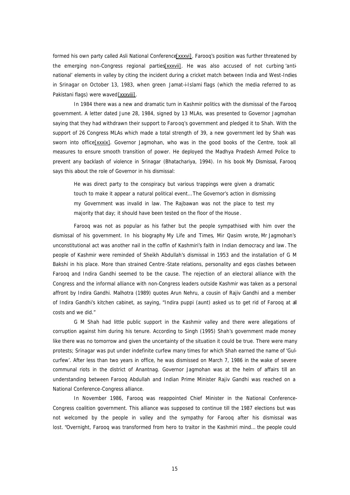formed his own party called Asli National Conference[xxxvi]. Farooq's position was further threatened by the emerging non-Congress regional parties[xxxvii]. He was also accused of not curbing 'antinational' elements in valley by citing the incident during a cricket match between India and West-Indies in Srinagar on October 13, 1983, when green *Jamat-i-Islami* flags (which the media referred to as Pakistani flags) were waved [xxxviii].

In 1984 there was a new and dramatic turn in Kashmir politics with the dismissal of the Farooq government. A letter dated June 28, 1984, signed by 13 MLAs, was presented to Governor Jagmohan saying that they had withdrawn their support to Farooq's government and pledged it to Shah. With the support of 26 Congress MLAs which made a total strength of 39, a new government led by Shah was sworn into office[xxxix]. Governor Jagmohan, who was in the good books of the Centre, took all measures to ensure smooth transition of power. He deployed the Madhya Pradesh Armed Police to prevent any backlash of violence in Srinagar (Bhatachariya, 1994). In his book *My Dismissal*, Farooq says this about the role of Governor in his dismissal:

*He was direct party to the conspiracy but various trappings were given a dramatic touch to make it appear a natural political event… The Governor's action in dismissing my Government was invalid in law. The Rajbawan was not the place to test my majority that day; it should have been tested on the floor of the House* .

Farooq was not as popular as his father but the people sympathised with him over the dismissal of his government. In his biography *My Life and Times*, Mir Qasim wrote, *Mr Jagmohan's unconstitutional act was another nail in the coffin of Kashmiri's faith in Indian democracy and law*. The people of Kashmir were reminded of Sheikh Abdullah's dismissal in 1953 and the installation of G M Bakshi in his place. More than strained Centre -State relations, personality and egos clashes between Farooq and Indira Gandhi seemed to be the cause. The rejection of an electoral alliance with the Congress and the informal alliance with non-Congress leaders outside Kashmir was taken as a personal affront by Indira Gandhi. Malhotra (1989) quotes Arun Nehru, a cousin of Rajiv Gandhi and a member of Indira Gandhi's kitchen cabinet, as saying, "*Indira puppi (aunt) asked us to get rid of Farooq at all costs and we did."*

G M Shah had little public support in the Kashmir valley and there were allegations of corruption against him during his tenure. According to Singh (1995) Shah's government made money like there was no tomorrow and given the uncertainty of the situation it could be true. There were many protests; Srinagar was put under indefinite curfew many times for which Shah earned the name of 'Gulcurfew'. After less than two years in office, he was dismissed on March 7, 1986 in the wake of severe communal riots in the district of Anantnag. Governor Jagmohan was at the helm of affairs till an understanding between Farooq Abdullah and Indian Prime Minister Rajiv Gandhi was reached on a National Conference-Congress alliance.

In November 1986, Farooq was reappointed Chief Minister in the National Conference-Congress coalition government. This alliance was supposed to continue till the 1987 elections but was not welcomed by the people in valley and the sympathy for Farooq after his dismissal was lost. "Overnight, Farooq was transformed from hero to traitor in the Kashmiri mind… the people could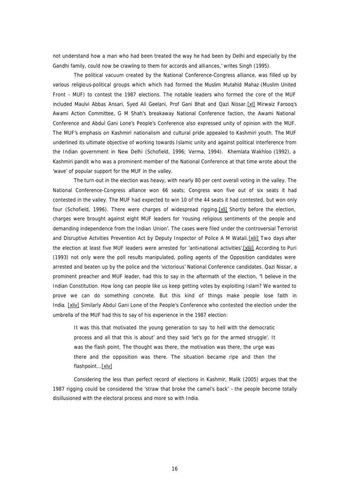not understand how a man who had been treated the way he had been by Delhi and especially by the Gandhi family, could now be crawling to them for accords and alliances,' writes Singh (1995).

The political vacuum created by the National Conference-Congress alliance, was filled up by various religious-political groups which which had formed the *Muslim Mutahid Mahaz* (Muslim United Front - MUF) to contest the 1987 elections. The notable leaders who formed the core of the MUF included Maulvi Abbas Ansari, Syed Ali Geelani, Prof Gani Bhat and Qazi Nissar. [xl] Mirwaiz Farooq's Awami Action Committee, G M Shah's breakaway National Conference faction, the Awami National Conference and Abdul Gani Lone's People's Conference also expressed unity of opinion with the MUF. The MUF's emphasis on Kashmiri nationalism and cultural pride appealed to Kashmiri youth. The MUF underlined its ultimate objective of working towards Islamic unity and against political interference from the Indian government in New Delhi (Schofield, 1996; Verma, 1994). Khemlata Wakhloo (1992), a Kashmiri pandit who was a prominent member of the National Conference at that time wrote about the 'wave' of popular support for the MUF in the valley.

The turn-out in the election was heavy, with nearly 80 per cent overall voting in the valley. The National Conference-Congress alliance won 66 seats; Congress won five out of six seats it had contested in the valley. The MUF had expected to win 10 of the 44 seats it had contested, but won only four (Schofield, 1996). There were charges of widespread rigging.[xli] Shortly before the election, charges were brought against eight MUF leaders for 'rousing religious sentiments of the people and demanding independence from the Indian Union'. The cases were filed under the controversial Terrorist and Disruptive Actvities Prevention Act by Deputy Inspector of Police A M Watali. [xlii] Two days after the election at least five MUF leaders were arrested for 'anti-national activities'.[xliii] According to Puri (1993) not only were the poll results manipulated, polling agents of the Opposition candidates were arrested and beaten up by the police and the 'victorious' National Conference candidates. Qazi Nissar, a prominent preacher and MUF leader, had this to say in the aftermath of the election, "*I believe in the Indian Constitution. How long can people like us keep getting votes by exploiting Islam? We wanted to prove we can do something concrete. But this kind of things make people lose faith in India*. [xliv] Similarly Abdul Gani Lone of the People's Conference who contested the election under the umbrella of the MUF had this to say of his experience in the 1987 election:

*It was this that motivated the young generation to say 'to hell with the democratic process and all that this is about' and they said 'let's go for the armed struggle'. It was the flash point. The thought was there, the motivation was there, the urge was there and the opposition was there. The situation became ripe and then the flashpoint...*[xlv]

Considering the less than perfect record of elections in Kashmir, Malik (2005) argues that the 1987 rigging could be considered the 'straw that broke the camel's back' - the people become totally disillusioned with the electoral process and more so with India.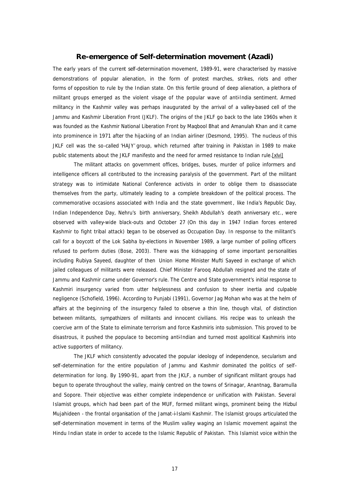# **Re-emergence of Self-determination movement (Azadi)**

The early years of the current *self-determination* movement, 1989-91, were characterised by massive demonstrations of popular alienation, in the form of protest marches, strikes, riots and other forms of opposition to rule by the Indian state. On this fertile ground of deep alienation, a plethora of militant groups emerged as the violent visage of the popular wave of anti-India sentiment. Armed militancy in the Kashmir valley was perhaps inaugurated by the arrival of a valley-based cell of the Jammu and Kashmir Liberation Front (JKLF). The origins of the JKLF go back to the late 1960s when it was founded as the Kashmir National Liberation Front by Maqbool Bhat and Amanulah Khan and it came into prominence in 1971 after the hijacking of an Indian airliner (Desmond, 1995). The nucleus of this JKLF cell was the so-called 'HAJY' group, which returned after training in Pakistan in 1989 to make public statements about the JKLF manifesto and the need for armed resistance to Indian rule.[xlvi]

The militant attacks on government offices, bridges, buses, murder of police informers and intelligence officers all contributed to the increasing paralysis of the government. Part of the militant strategy was to intimidate National Conference activists in order to oblige them to disassociate themselves from the party, ultimately leading to a complete breakdown of the political process. The commemorative occasions associated with India and the state government, like India's Republic Day, Indian Independence Day, Nehru's birth anniversary, Sheikh Abdullah's death anniversary etc., were observed with valley-wide black-outs and October 27 (On this day in 1947 Indian forces entered Kashmir to fight tribal attack) began to be observed as Occupation Day. In response to the militant's call for a boycott of the Lok Sabha by-elections in November 1989, a large number of polling officers refused to perform duties (Bose, 2003). There was the kidnapping of some important personalities including Rubiya Sayeed, daughter of then Union Home Minister Mufti Sayeed in exchange of which jailed colleagues of militants were released. Chief Minister Farooq Abdullah resigned and the state of Jammu and Kashmir came under Governor's rule. The Centre and State government's initial response to Kashmiri insurgency varied from utter helplessness and confusion to sheer inertia and culpable negligence (Schofield, 1996). According to Punjabi (1991), Governor Jag Mohan who was at the helm of affairs at the beginning of the insurgency failed to observe a thin line, though vital, of distinction between militants, sympathizers of militants and innocent civilians. His recipe was to unleash the coercive arm of the State to eliminate terrorism and force Kashmiris into submission. This proved to be disastrous, it pushed the populace to becoming anti-Indian and turned most apolitical Kashmiris into active supporters of militancy.

The JKLF which consistently advocated the popular ideology of independence, secularism and self-determination for the entire population of Jammu and Kashmir dominated the politics of selfdetermination for long. By 1990-91, apart from the JKLF, a number of significant militant groups had begun to operate throughout the valley, mainly centred on the towns of Srinagar, Anantnag, Baramulla and Sopore. Their objective was either complete independence or unification with Pakistan. Several Islamist groups, which had been part of the MUF, formed militant wings, prominent being the Hizbul Mujahideen - the frontal organisation of the Jamat-i-Islami Kashmir. The Islamist groups articulated the self-determination movement in terms of the Muslim valley waging an Islamic movement against the Hindu Indian state in order to accede to the Islamic Republic of Pakistan. This Islamist voice within the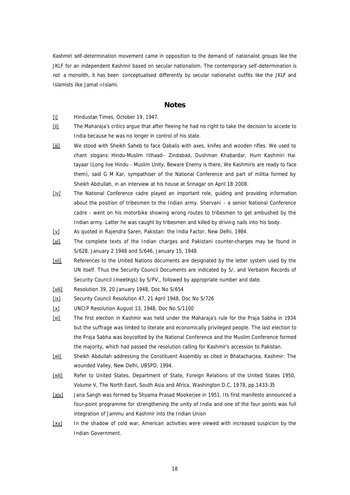Kashmiri self-determination movement came in opposition to the demand of nationalist groups like the JKLF for an independent Kashmir based on secular nationalism. The contemporary self-determination is not a monolith, it has been conceptualised differently by secular nationalist outfits like the JKLF and Islamists like Jamat-i-Islami.

#### **Notes**

- [i] Hindustan Times, October 19, 1947.
- [ii] The Maharaja's critics argue that after fleeing he had no right to take the decision to accede to India because he was no longer in control of his state.
- [iii] We stood with Sheikh Saheb to face Qabalis with axes, knifes and wooden rifles. We used to chant slogans: *Hindu-Muslim Itihaad- Zindabad, Dushman Khabardar, Hum Kashmiri Hai tayaar* (Long live Hindu - Muslim Unity, Beware Enemy is there, We Kashmiris are ready to face them), said G M Kar, sympathiser of the National Conference and part of militia formed by Sheikh Abdullah, in an interview at his house at Srinagar on April 18 2008.
- [iv] The National Conference cadre played an important role, guiding and providing information about the position of tribesmen to the Indian army. Shervani - a senior National Conference cadre - went on his motorbike showing wrong routes to tribesmen to get ambushed by the Indian army. Latter he was caught by tribesmen and killed by driving nails into his body.
- [v] As quoted in Rajendra Saren, Pakistan: the India Factor, New Delhi, 1984.
- [vi] The complete texts of the Indian charges and Pakistani counter-charges may be found in S/628, January 2 1948 and S/646, January 15, 1948.
- [vii] References to the United Nations documents are designated by the letter system used by the UN itself. Thus the Security Council Documents are indicated by S/, and Verbatim Records of Security Council (meetings) by S/PV., followed by appropriate number and date.
- [viii] Resolution 39, 20 January 1948, Doc No S/654
- [ix] Security Council Resolution 47, 21 April 1948, Doc No S/726
- [x] UNCIP Resolution August 13, 1948, Doc No S/1100
- [xi] The first election in Kashmir was held under the Maharaja's rule for the Praja Sabha in 1934 but the suffrage was limited to literate and economically privileged people. The last election to the Praja Sabha was boycotted by the National Conference and the Muslim Conference formed the majority, which had passed the resolution calling for Kashmir's accession to Pakistan.
- [xii] Sheikh Abdullah addressing the Constituent Assembly as cited in Bhatacharjea, Kashmir: The wounded Valley, New Delhi, UBSPD, 1994.
- [xiii] Refer to United States, Department of State, Foreign Relations of the United States 1950, Volume V, The North Easrt, South Asia and Africa, Washington D.C, 1978, pp.1433-35
- [xiv] Jana Sangh was formed by Shyama Prasad Mookerjee in 1951. Its first manifesto announced a four-point programme for strengthening the unity of India and one of the four points was full integration of Jammu and Kashmir into the Indian Union
- [xv] In the shadow of cold war, American activities were viewed with increased suspicion by the Indian Government.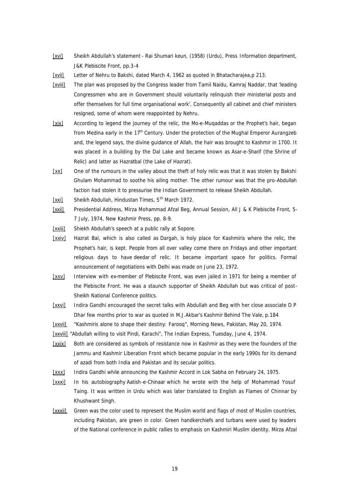- [xvi] Sheikh Abdullah's statement *Rai Shumari keun*, (1958) (Urdu), Press Information department, J&K Plebiscite Front, pp.3-4
- [xvii] Letter of Nehru to Bakshi, dated March 4, 1962 as quoted in Bhatacharajea, p 213.
- [xviii] The plan was proposed by the Congress leader from Tamil Naidu, Kamraj Naddar, that 'leading Congressmen who are in Government should voluntarily relinquish their ministerial posts and offer themselves for full time organisational work'. Consequently all cabinet and chief ministers resigned, some of whom were reappointed by Nehru.
- [xix] According to legend the journey of the relic, the *Mo-e-Muqaddas* or the Prophet's hair, began from Medina early in the 17<sup>th</sup> Century. Under the protection of the Mughal Emperor Aurangzeb and, the legend says, the divine guidance of Allah, the hair was brought to Kashmir in 1700. It was placed in a building by the Dal Lake and became known as *Asar-e-Sharif* (the Shrine of Relic) and latter as *Hazratbal* (the Lake of Hazrat).
- [xx] One of the rumours in the valley about the theft of holy relic was that it was stolen by Bakshi Ghulam Mohammad to soothe his ailing mother. The other rumour was that the pro-Abdullah faction had stolen it to pressurise the Indian Government to release Sheikh Abdullah.
- [xxi] Sheikh Abdullah, Hindustan Times, 5<sup>th</sup> March 1972.
- [xxii] Presidential Address, Mirza Mohammad Afzal Beg, Annual Session, All J & K Plebiscite Front, 5- 7 July, 1974, New Kashmir Press, pp. 8-9.
- [xxiii] Shiekh Abdullah's speech at a public rally at Sopore.
- [xxiv] Hazrat Bal, which is also called as *Dargah*, is holy place for Kashmiris where the relic, the Prophet's hair, is kept. People from all over valley come there on Fridays and other important religious days to have *deedar* of relic. It became important space for politics. Formal announcement of negotiations with Delhi was made on June 23, 1972.
- [xxv] Interview with ex-member of Plebiscite Front, was even jailed in 1971 for being a member of the Plebiscite Front. He was a staunch supporter of Sheikh Abdullah but was critical of post-Sheikh National Conference politics.
- [xxvi] Indira Gandhi encouraged the secret talks with Abdullah and Beg with her close associate D P Dhar few months prior to war as quoted in M.J.Akbar's *Kashmir Behind The Vale,* p.184
- [xxvii] "Kashmiris alone to shape their destiny: Farooq", Morning News, Pakistan, May 20, 1974.
- [xxviii] "Abdullah willing to visit Pindi, Karachi", The Indian Express, Tuesday, June 4, 1974.
- [xxix] Both are considered as symbols of resistance now in Kashmir as they were the founders of the Jammu and Kashmir Liberation Front which became popular in the early 1990s for its demand of azadi from both India and Pakistan and its secular politics.
- [xxx] Indira Gandhi while announcing the Kashmir Accord in Lok Sabha on February 24, 1975.
- [xxxi] In his autobiography Aatish-e-Chinaar which he wrote with the help of Mohammad Yosuf Taing. It was written in Urdu which was later translated to English as *Flames of Chinnar* by Khushwant Singh.
- [xxxii] Green was the color used to represent the Muslim world and flags of most of Muslim countries, including Pakistan, are green in color. Green handkerchiefs and turbans were used by leaders of the National conference in public rallies to emphasis on Kashmiri Muslim identity. Mirza Afzal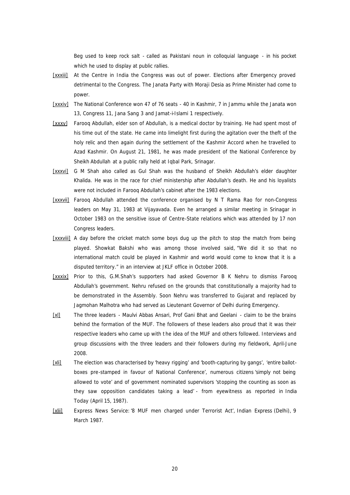Beg used to keep rock salt - called as Pakistani noun in colloquial language - in his pocket which he used to display at public rallies.

- [xxxiii] At the Centre in India the Congress was out of power. Elections after Emergency proved detrimental to the Congress. The Janata Party with Moraji Desia as Prime Minister had come to power.
- [xxxiv] The National Conference won 47 of 76 seats 40 in Kashmir, 7 in Jammu while the Janata won 13, Congress 11, Jana Sang 3 and Jamat-i-Islami 1 respectively.
- [xxxv] Farooq Abdullah, elder son of Abdullah, is a medical doctor by training. He had spent most of his time out of the state. He came into limelight first during the agitation over the theft of the holy relic and then again during the settlement of the Kashmir Accord when he travelled to Azad Kashmir. On August 21, 1981, he was made president of the National Conference by Sheikh Abdullah at a public rally held at Iqbal Park, Srinagar.
- [xxxvi] G M Shah also called as Gul Shah was the husband of Sheikh Abdullah's elder daughter Khalida. He was in the race for chief ministership after Abdullah's death. He and his loyalists were not included in Farooq Abdullah's cabinet after the 1983 elections.
- [xxxvii] Farooq Abdullah attended the conference organised by N T Rama Rao for non-Congress leaders on May 31, 1983 at Vijayavada. Even he arranged a similar meeting in Srinagar in October 1983 on the sensitive issue of Centre-State relations which was attended by 17 non Congress leaders.
- [xxxviii] A day before the cricket match some boys dug up the pitch to stop the match from being played. Showkat Bakshi who was among those involved said, "We did it so that no international match could be played in Kashmir and world would come to know that it is a disputed territory." in an interview at JKLF office in October 2008.
- [xxxix] Prior to this, G.M.Shah's supporters had asked Governor B K Nehru to dismiss Faroog Abdullah's government. Nehru refused on the grounds that constitutionally a majority had to be demonstrated in the Assembly. Soon Nehru was transferred to Gujarat and replaced by Jagmohan Malhotra who had served as Lieutenant Governor of Delhi during Emergency.
- [xl] The three leaders Maulvi Abbas Ansari, Prof Gani Bhat and Geelani claim to be the brains behind the formation of the MUF. The followers of these leaders also proud that it was their respective leaders who came up with the idea of the MUF and others followed. Interviews and group discussions with the three leaders and their followers during my fieldwork, April-June 2008.
- [xli] The election was characterised by 'heavy rigging' and 'booth-capturing by gangs', 'entire ballotboxes pre-stamped in favour of National Conference', numerous citizens 'simply not being allowed to vote' and of government nominated supervisors 'stopping the counting as soon as they saw opposition candidates taking a lead' - from eyewitness as reported in *India Today* (April 15, 1987).
- [xlii] Express News Service:'8 MUF men charged under Terrorist Act', *Indian Express* (Delhi), 9 March 1987.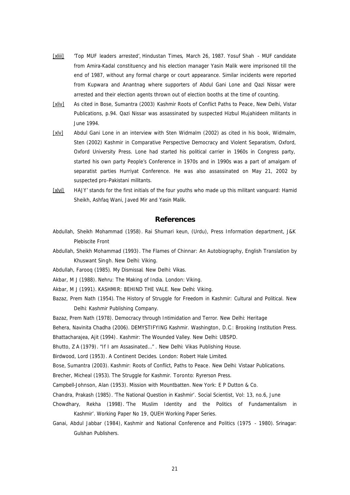- [xliii] 'Top MUF leaders arrested', *Hindustan Times*, March 26, 1987. Yosuf Shah MUF candidate from Amira-Kadal constituency and his election manager Yasin Malik were imprisoned till the end of 1987, without any formal charge or court appearance. Similar incidents were reported from Kupwara and Anantnag where supporters of Abdul Gani Lone and Qazi Nissar were arrested and their election agents thrown out of election booths at the time of counting.
- [xliv] As cited in Bose, Sumantra (2003) *Kashmir Roots of Conflict Paths to Peace*, New Delhi, Vistar Publications, p.94. Qazi Nissar was assassinated by suspected Hizbul Mujahideen militants in June 1994.
- [xlv] Abdul Gani Lone in an interview with Sten Widmalm (2002) as cited in his book, Widmalm, Sten (2002) Kashmir in Comparative Perspective Democracy and Violent Separatism, Oxford, Oxford University Press. Lone had started his political carrier in 1960s in Congress party, started his own party People's Conference in 1970s and in 1990s was a part of amalgam of separatist parties Hurriyat Conference. He was also assassinated on May 21, 2002 by suspected pro-Pakistani militants.
- [xlvi] HAJY' stands for the first initials of the four youths who made up this militant vanguard: Hamid Sheikh, Ashfaq Wani, Javed Mir and Yasin Malik.

# **References**

- Abdullah, Sheikh Mohammad (1958). *Rai Shumari keun*, (Urdu), Press Information department, J&K Plebiscite Front
- Abdullah, Sheikh Mohammad (1993). *The Flames of Chinnar: An Autobiography*, English Translation by Khuswant Singh. New Delhi: Viking.
- Abdullah, Farooq (1985). *My Dismissal*. New Delhi: Vikas.
- Akbar, M J (1988). *Nehru: The Making of India*. London: Viking.
- Akbar, M J (1991). *KASHMIR: BEHIND THE VALE*. New Delhi: Viking.
- Bazaz, Prem Nath (1954). *The History of Struggle for Freedom in Kashmir: Cultural and Political*. New Delhi: Kashmir Publishing Company.
- Bazaz, Prem Nath (1978). *Democracy through Intimidation and Terror*. New Delhi: Heritage

Behera, Navinita Chadha (2006). *DEMYSTIFYING Kashmir*. *Washington*, D.C.: Brooking Institution Press.

Bhattacharajea, Ajit (1994). *Kashmir: The Wounded Valley*. New Delhi: UBSPD.

Bhutto, Z A (1979). *"If I am Assasinated…"* . New Delhi: Vikas Publishing House.

Birdwood, Lord (1953). *A Continent Decides*. London: Robert Hale Limited.

Bose, Sumantra (2003). *Kashmir: Roots of Conflict, Paths to Peace.* New Delhi: Vistaar Publications.

Brecher, Micheal (1953). *The Struggle for Kashmir*. Toronto: Ryrerson Press.

Campbell-Johnson, Alan (1953). *Mission with Mountbatten.* New York: E P Dutton & Co.

- Chandra, Prakash (1985). 'The National Question in Kashmir'. *Social Scientist*, Vol: 13, no.6, June
- Chowdhary, Rekha (1998). 'The Muslim Identity and the Politics of Fundamentalism in Kashmir'. *Working Paper No 19*, QUEH Working Paper Series.
- Ganai, Abdul Jabbar (1984), *Kashmir and National Conference and Politics (1975 - 1980).* Srinagar: Gulshan Publishers.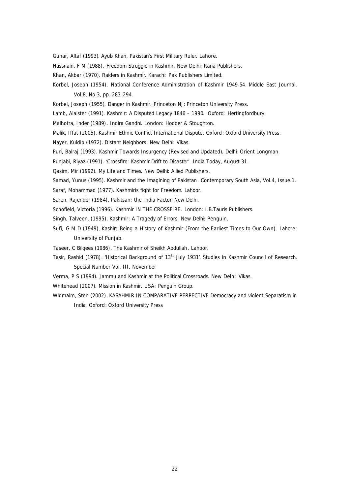Guhar, Altaf (1993). *Ayub Khan, Pakistan's First Military Ruler*. Lahore.

- Hassnain, F M (1988). *Freedom Struggle in Kashmir*. New Delhi: Rana Publishers.
- Khan, Akbar (1970). *Raiders in Kashmir*. Karachi: Pak Publishers Limited.
- Korbel, Joseph (1954). National Conference Administration of Kashmir 1949-54. *Middle East Journal*, Vol.8, No.3, pp. 283-294.
- Korbel, Joseph (1955). *Danger in Kashmir*. Princeton NJ: Princeton University Press.
- Lamb, Alaister (1991). *Kashmir: A Disputed Legacy 1846 – 1990*. Oxford: Hertingfordbury.
- Malhotra, Inder (1989). *Indira Gandhi*. London: Hodder & Stoughton.
- Malik, Iffat (2005). *Kashmir Ethnic Conflict International Dispute*. Oxford: Oxford University Press.
- Nayer, Kuldip (1972). *Distant Neighbors*. New Delhi: Vikas.
- Puri, Balraj (1993). *Kashmir Towards Insurgency* (Revised and Updated). Delhi: Orient Longman.
- Punjabi, Riyaz (1991). 'Crossfire: Kashmir Drift to Disaster'. *India Today*, August 31.
- Qasim, Mir (1992). *My Life and Times*. New Delhi: Allied Publishers.
- Samad, Yunus (1995). *Kashmir and the Imagining of Pakistan*. Contemporary South Asia, Vol.4, Issue.1.
- Saraf, Mohammad (1977). *Kashmiris fight for Freedom*. Lahoor.
- Saren, Rajender (1984). *Pakitsan: the India Factor*. New Delhi.
- Schofield, Victoria (1996). *Kashmir IN THE CROSSFIRE*. London: I.B.Tauris Publishers.
- Singh, Talveen, (1995). *Kashmir: A Tragedy of Errors*. New Delhi: Penguin.
- Sufi, G M D (1949). *Kashir: Being a History of Kashmir (From the Earliest Times to Our Own)*. Lahore: University of Punjab.
- Taseer, C Bilqees (1986). *The Kashmir of Sheikh Abdullah*. Lahoor.
- Tasir, Rashid (1978). 'Historical Background of 13th July 1931'. *Studies in Kashmir Council of Research*, Special Number Vol. III, November
- Verma, P S (1994). *Jammu and Kashmir at the Political Crossroads*. New Delhi: Vikas.
- Whitehead (2007). *Mission in Kashmir*. USA: Penguin Group.
- Widmalm, Sten (2002). *KASAHMIR IN COMPARATIVE PERPECTIVE Democracy and violent Separatism in India*. Oxford: Oxford University Press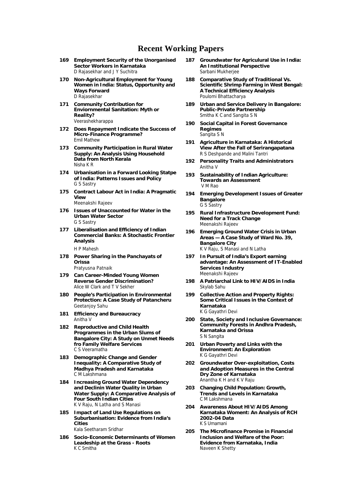# **Recent Working Papers**

- **169 Employment Security of the Unorganised Sector Workers in Karnataka** D Rajasekhar and J Y Suchitra
- **170 Non-Agricultural Employment for Young Women in India: Status, Opportunity and Ways Forward** D Rajasekhar
- **171 Community Contribution for Enviornmental Sanitation: Myth or Reality?** Veerashekharappa
- **172 Does Repayment Indicate the Success of Micro-Finance Programme?** Emil Mathew
- **173 Community Participation in Rural Water Supply: An Analysis Using Household Data from North Kerala** Nisha K R
- **174 Urbanisation in a Forward Looking Statpe of India: Patterns Issues and Policy** G S Sastry
- **175 Contract Labour Act in India: A Pragmatic View**

Meenakshi Rajeev

- **176 Issues of Unaccounted for Water in the Urban Water Sector** G S Sastry
- **177 Liberalisation and Efficiency of Indian Commercial Banks: A Stochastic Frontier Analysis** H P Mahesh
- **178 Power Sharing in the Panchayats of Orissa** Pratyusna Patnaik
- **179 Can Career-Minded Young Women Reverse Gender Discrimination?** Alice W Clark and T V Sekher
- **180 People's Participation in Environmental Protection: A Case Study of Patancheru** Geetanjoy Sahu
- **181 Efficiency and Bureaucracy** Anitha V
- **182 Reproductive and Child Health Programmes in the Urban Slums of Bangalore City: A Study on Unmet Needs fro Family Welfare Services** C S Veeramatha
- **183 Demographic Change and Gender Inequality: A Comparative Study of Madhya Pradesh and Karnataka** C M Lakshmana
- **184 Increasing Ground Water Dependency and Declinin Water Quality in Urban Water Supply: A Comparative Analysis of Four South Indian Cities** K V Raju, N Latha and S Manasi
- **185 Impact of Land Use Regulations on Suburbanisation: Evidence from India's Cities** Kala Seetharam Sridhar
- **186 Socio-Economic Determinants of Women Leadeship at the Grass - Roots** K C Smitha
- **187 Groundwater for Agriculural Use in India: An Institutional Perspective** Sarbani Mukherjee
- **188 Comparative Study of Traditional Vs. Scientific Shrimp Farming in West Bengal: A Technical Efficiency Analysis** Poulomi Bhattacharya
- **189 Urban and Service Delivery in Bangalore: Public-Private Partnership** Smitha K C and Sangita S N
- **190 Social Capital in Forest Governance Regimes** Sangita S N
- **191 Agriculture in Karnataka: A Historical View After the Fall of Serirangapatana** R S Deshpande and Malini Tantri
- **192 Personality Traits and Administrators** Anitha V
- **193 Sustainability of Indian Agriculture: Towards an Assessment** V M Rao
- **194 Emerging Development Issues of Greater Bangalore** G S Sastry
- **195 Rural Infrastructure Development Fund: Need for a Track Change** Meenakshi Rajeev
- **196 Emerging Ground Water Crisis in Urban Areas — A Case Study of Ward No. 39, Bangalore City** K V Raju, S Manasi and N Latha
- **197 In Pursuit of India's Export earning advantage: An Assessment of IT-Enabled Services Industry** Meenakshi Rajeev
- **198 A Patriarchal Link to HIV/AIDS in India** Skylab Sahu
- **199 Collective Action and Property Rights: Some Critical Issues in the Context of Karnataka** K G Gayathri Devi
- **200 State, Society and Inclusive Governance: Community Forests in Andhra Pradesh, Karnataka and Orissa** S N Sangita
- **201 Urban Poverty and Links with the Environment: An Exploration** K G Gayathri Devi
- **202 Groundwater Over-exploitation, Costs and Adoption Measures in the Central Dry Zone of Karnataka** Anantha K H and K V Raju
- **203 Changing Child Population: Growth, Trends and Levels in Karnataka** C M Lakshmana
- **204 Awareness About HIV/AIDS Among Karnataka Woment: An Analysis of RCH 2002-04 Data** K S Umamani
- **205 The Microfinance Promise in Financial Inclusion and Welfare of the Poor: Evidence from Karnataka, India** Naveen K Shetty